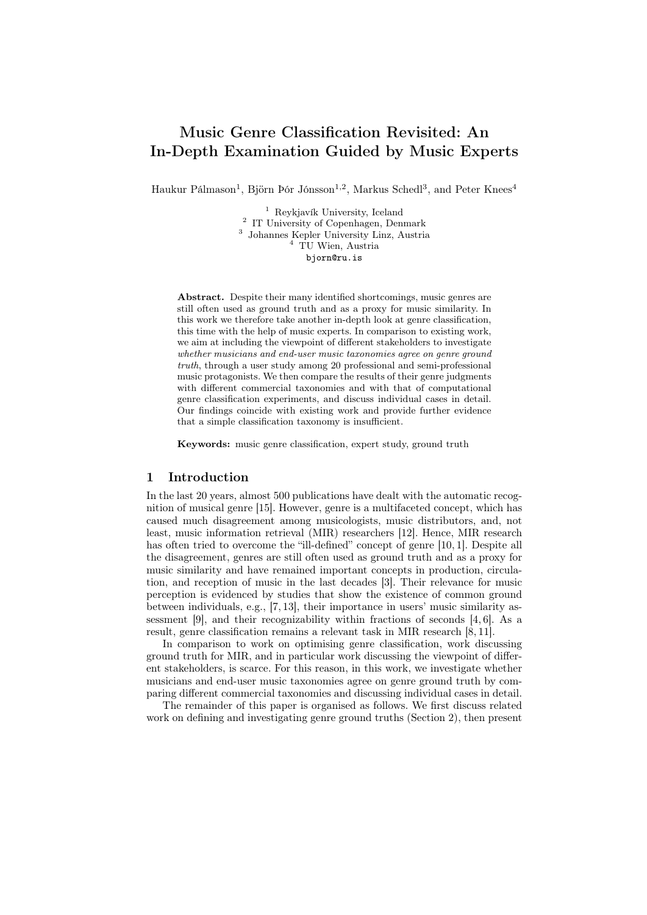# Music Genre Classification Revisited: An In-Depth Examination Guided by Music Experts

Haukur Pálmason<sup>1</sup>, Björn Þór Jónsson<sup>1,2</sup>, Markus Schedl<sup>3</sup>, and Peter Knees<sup>4</sup>

<sup>1</sup> Reykjavík University, Iceland <sup>2</sup> IT University of Copenhagen, Denmark 3 Johannes Kepler University Linz, Austria <sup>4</sup> TU Wien, Austria bjorn@ru.is

Abstract. Despite their many identified shortcomings, music genres are still often used as ground truth and as a proxy for music similarity. In this work we therefore take another in-depth look at genre classification, this time with the help of music experts. In comparison to existing work, we aim at including the viewpoint of different stakeholders to investigate whether musicians and end-user music taxonomies agree on genre ground truth, through a user study among 20 professional and semi-professional music protagonists. We then compare the results of their genre judgments with different commercial taxonomies and with that of computational genre classification experiments, and discuss individual cases in detail. Our findings coincide with existing work and provide further evidence that a simple classification taxonomy is insufficient.

Keywords: music genre classification, expert study, ground truth

# 1 Introduction

In the last 20 years, almost 500 publications have dealt with the automatic recognition of musical genre [15]. However, genre is a multifaceted concept, which has caused much disagreement among musicologists, music distributors, and, not least, music information retrieval (MIR) researchers [12]. Hence, MIR research has often tried to overcome the "ill-defined" concept of genre [10, 1]. Despite all the disagreement, genres are still often used as ground truth and as a proxy for music similarity and have remained important concepts in production, circulation, and reception of music in the last decades [3]. Their relevance for music perception is evidenced by studies that show the existence of common ground between individuals, e.g., [7, 13], their importance in users' music similarity assessment [9], and their recognizability within fractions of seconds [4, 6]. As a result, genre classification remains a relevant task in MIR research [8, 11].

In comparison to work on optimising genre classification, work discussing ground truth for MIR, and in particular work discussing the viewpoint of different stakeholders, is scarce. For this reason, in this work, we investigate whether musicians and end-user music taxonomies agree on genre ground truth by comparing different commercial taxonomies and discussing individual cases in detail.

The remainder of this paper is organised as follows. We first discuss related work on defining and investigating genre ground truths (Section 2), then present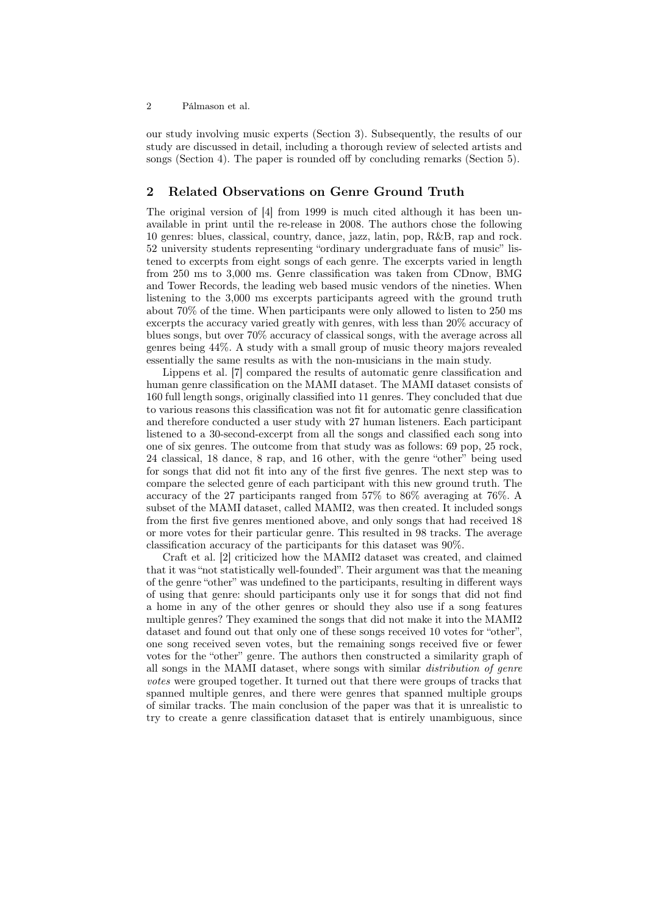our study involving music experts (Section 3). Subsequently, the results of our study are discussed in detail, including a thorough review of selected artists and songs (Section 4). The paper is rounded off by concluding remarks (Section 5).

# 2 Related Observations on Genre Ground Truth

The original version of [4] from 1999 is much cited although it has been unavailable in print until the re-release in 2008. The authors chose the following 10 genres: blues, classical, country, dance, jazz, latin, pop, R&B, rap and rock. 52 university students representing "ordinary undergraduate fans of music" listened to excerpts from eight songs of each genre. The excerpts varied in length from 250 ms to 3,000 ms. Genre classification was taken from CDnow, BMG and Tower Records, the leading web based music vendors of the nineties. When listening to the 3,000 ms excerpts participants agreed with the ground truth about 70% of the time. When participants were only allowed to listen to 250 ms excerpts the accuracy varied greatly with genres, with less than 20% accuracy of blues songs, but over 70% accuracy of classical songs, with the average across all genres being 44%. A study with a small group of music theory majors revealed essentially the same results as with the non-musicians in the main study.

Lippens et al. [7] compared the results of automatic genre classification and human genre classification on the MAMI dataset. The MAMI dataset consists of 160 full length songs, originally classified into 11 genres. They concluded that due to various reasons this classification was not fit for automatic genre classification and therefore conducted a user study with 27 human listeners. Each participant listened to a 30-second-excerpt from all the songs and classified each song into one of six genres. The outcome from that study was as follows: 69 pop, 25 rock, 24 classical, 18 dance, 8 rap, and 16 other, with the genre "other" being used for songs that did not fit into any of the first five genres. The next step was to compare the selected genre of each participant with this new ground truth. The accuracy of the 27 participants ranged from 57% to 86% averaging at 76%. A subset of the MAMI dataset, called MAMI2, was then created. It included songs from the first five genres mentioned above, and only songs that had received 18 or more votes for their particular genre. This resulted in 98 tracks. The average classification accuracy of the participants for this dataset was 90%.

Craft et al. [2] criticized how the MAMI2 dataset was created, and claimed that it was "not statistically well-founded". Their argument was that the meaning of the genre "other" was undefined to the participants, resulting in different ways of using that genre: should participants only use it for songs that did not find a home in any of the other genres or should they also use if a song features multiple genres? They examined the songs that did not make it into the MAMI2 dataset and found out that only one of these songs received 10 votes for "other", one song received seven votes, but the remaining songs received five or fewer votes for the "other" genre. The authors then constructed a similarity graph of all songs in the MAMI dataset, where songs with similar distribution of genre votes were grouped together. It turned out that there were groups of tracks that spanned multiple genres, and there were genres that spanned multiple groups of similar tracks. The main conclusion of the paper was that it is unrealistic to try to create a genre classification dataset that is entirely unambiguous, since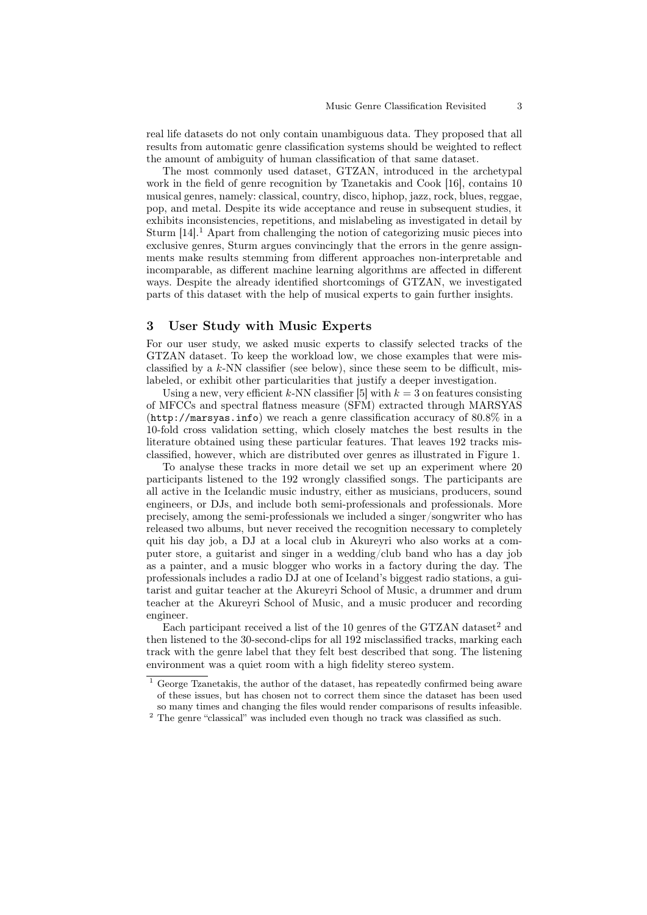real life datasets do not only contain unambiguous data. They proposed that all results from automatic genre classification systems should be weighted to reflect the amount of ambiguity of human classification of that same dataset.

The most commonly used dataset, GTZAN, introduced in the archetypal work in the field of genre recognition by Tzanetakis and Cook [16], contains 10 musical genres, namely: classical, country, disco, hiphop, jazz, rock, blues, reggae, pop, and metal. Despite its wide acceptance and reuse in subsequent studies, it exhibits inconsistencies, repetitions, and mislabeling as investigated in detail by Sturm  $[14]$ <sup>1</sup>. Apart from challenging the notion of categorizing music pieces into exclusive genres, Sturm argues convincingly that the errors in the genre assignments make results stemming from different approaches non-interpretable and incomparable, as different machine learning algorithms are affected in different ways. Despite the already identified shortcomings of GTZAN, we investigated parts of this dataset with the help of musical experts to gain further insights.

## 3 User Study with Music Experts

For our user study, we asked music experts to classify selected tracks of the GTZAN dataset. To keep the workload low, we chose examples that were misclassified by a  $k$ -NN classifier (see below), since these seem to be difficult, mislabeled, or exhibit other particularities that justify a deeper investigation.

Using a new, very efficient k-NN classifier [5] with  $k = 3$  on features consisting of MFCCs and spectral flatness measure (SFM) extracted through MARSYAS (http://marsyas.info) we reach a genre classification accuracy of 80.8% in a 10-fold cross validation setting, which closely matches the best results in the literature obtained using these particular features. That leaves 192 tracks misclassified, however, which are distributed over genres as illustrated in Figure 1.

To analyse these tracks in more detail we set up an experiment where 20 participants listened to the 192 wrongly classified songs. The participants are all active in the Icelandic music industry, either as musicians, producers, sound engineers, or DJs, and include both semi-professionals and professionals. More precisely, among the semi-professionals we included a singer/songwriter who has released two albums, but never received the recognition necessary to completely quit his day job, a DJ at a local club in Akureyri who also works at a computer store, a guitarist and singer in a wedding/club band who has a day job as a painter, and a music blogger who works in a factory during the day. The professionals includes a radio DJ at one of Iceland's biggest radio stations, a guitarist and guitar teacher at the Akureyri School of Music, a drummer and drum teacher at the Akureyri School of Music, and a music producer and recording engineer.

Each participant received a list of the  $10$  genres of the GTZAN dataset<sup>2</sup> and then listened to the 30-second-clips for all 192 misclassified tracks, marking each track with the genre label that they felt best described that song. The listening environment was a quiet room with a high fidelity stereo system.

 $1$  George Tzanetakis, the author of the dataset, has repeatedly confirmed being aware of these issues, but has chosen not to correct them since the dataset has been used so many times and changing the files would render comparisons of results infeasible.

 $^2$  The genre "classical" was included even though no track was classified as such.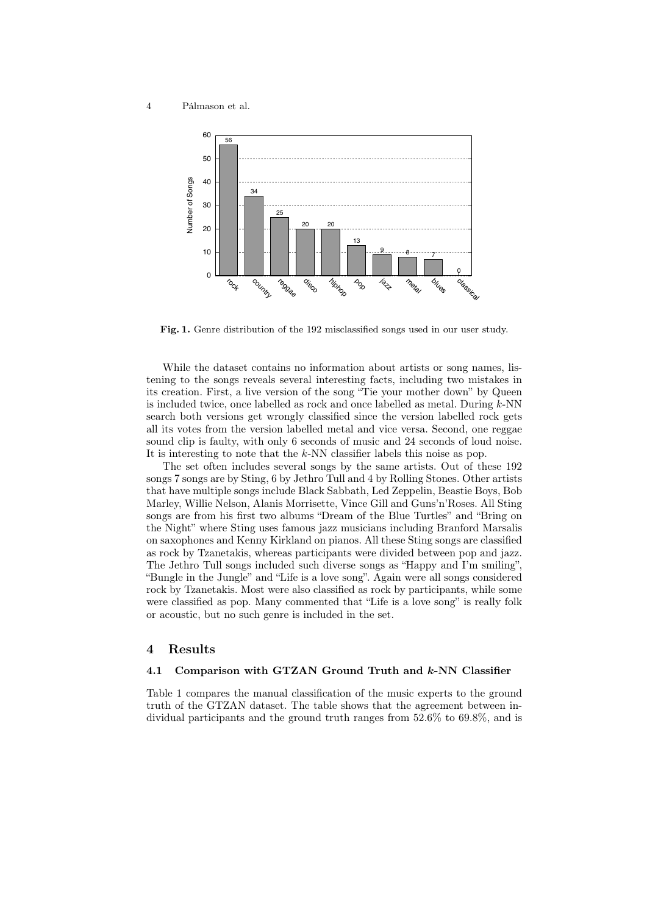

Fig. 1. Genre distribution of the 192 misclassified songs used in our user study.

While the dataset contains no information about artists or song names, listening to the songs reveals several interesting facts, including two mistakes in its creation. First, a live version of the song "Tie your mother down" by Queen is included twice, once labelled as rock and once labelled as metal. During  $k$ -NN search both versions get wrongly classified since the version labelled rock gets all its votes from the version labelled metal and vice versa. Second, one reggae sound clip is faulty, with only 6 seconds of music and 24 seconds of loud noise. It is interesting to note that the k-NN classifier labels this noise as pop.

The set often includes several songs by the same artists. Out of these 192 songs 7 songs are by Sting, 6 by Jethro Tull and 4 by Rolling Stones. Other artists that have multiple songs include Black Sabbath, Led Zeppelin, Beastie Boys, Bob Marley, Willie Nelson, Alanis Morrisette, Vince Gill and Guns'n'Roses. All Sting songs are from his first two albums "Dream of the Blue Turtles" and "Bring on the Night" where Sting uses famous jazz musicians including Branford Marsalis on saxophones and Kenny Kirkland on pianos. All these Sting songs are classified as rock by Tzanetakis, whereas participants were divided between pop and jazz. The Jethro Tull songs included such diverse songs as "Happy and I'm smiling", "Bungle in the Jungle" and "Life is a love song". Again were all songs considered rock by Tzanetakis. Most were also classified as rock by participants, while some were classified as pop. Many commented that "Life is a love song" is really folk or acoustic, but no such genre is included in the set.

## 4 Results

## 4.1 Comparison with GTZAN Ground Truth and k-NN Classifier

Table 1 compares the manual classification of the music experts to the ground truth of the GTZAN dataset. The table shows that the agreement between individual participants and the ground truth ranges from 52.6% to 69.8%, and is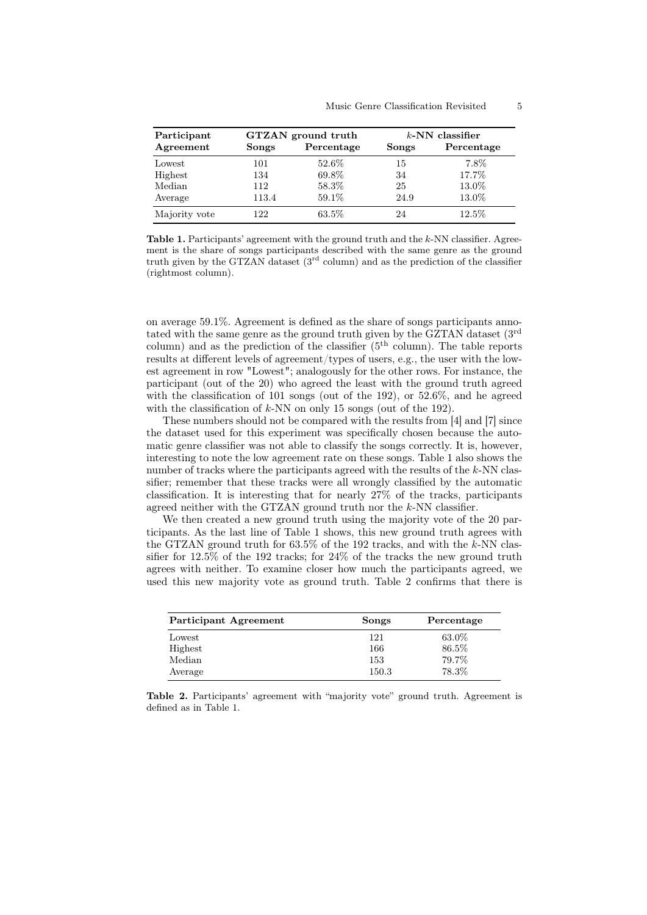| Participant   |       | GTZAN ground truth | $k$ -NN classifier |            |  |
|---------------|-------|--------------------|--------------------|------------|--|
| Agreement     | Songs | Percentage         | Songs              | Percentage |  |
| Lowest        | 101   | 52.6%              | 15                 | 7.8%       |  |
| Highest       | 134   | 69.8%              | 34                 | 17.7%      |  |
| Median        | 112   | 58.3%              | 25                 | 13.0%      |  |
| Average       | 113.4 | 59.1%              | 24.9               | 13.0%      |  |
| Majority vote | 122   | 63.5%              | 24                 | 12.5%      |  |

**Table 1.** Participants' agreement with the ground truth and the  $k$ -NN classifier. Agreement is the share of songs participants described with the same genre as the ground truth given by the GTZAN dataset  $(3<sup>rd</sup>$  column) and as the prediction of the classifier (rightmost column).

on average 59.1%. Agreement is defined as the share of songs participants annotated with the same genre as the ground truth given by the GZTAN dataset (3rd column) and as the prediction of the classifier  $(5<sup>th</sup>$  column). The table reports results at different levels of agreement/types of users, e.g., the user with the lowest agreement in row "Lowest"; analogously for the other rows. For instance, the participant (out of the 20) who agreed the least with the ground truth agreed with the classification of 101 songs (out of the 192), or 52.6%, and he agreed with the classification of  $k$ -NN on only 15 songs (out of the 192).

These numbers should not be compared with the results from [4] and [7] since the dataset used for this experiment was specifically chosen because the automatic genre classifier was not able to classify the songs correctly. It is, however, interesting to note the low agreement rate on these songs. Table 1 also shows the number of tracks where the participants agreed with the results of the  $k$ -NN classifier; remember that these tracks were all wrongly classified by the automatic classification. It is interesting that for nearly 27% of the tracks, participants agreed neither with the GTZAN ground truth nor the  $k$ -NN classifier.

We then created a new ground truth using the majority vote of the 20 participants. As the last line of Table 1 shows, this new ground truth agrees with the GTZAN ground truth for  $63.5\%$  of the 192 tracks, and with the k-NN classifier for 12.5% of the 192 tracks; for 24% of the tracks the new ground truth agrees with neither. To examine closer how much the participants agreed, we used this new majority vote as ground truth. Table 2 confirms that there is

| Participant Agreement | Songs | Percentage |  |  |
|-----------------------|-------|------------|--|--|
| Lowest                | 121   | 63.0%      |  |  |
| Highest               | 166   | 86.5%      |  |  |
| Median                | 153   | 79.7%      |  |  |
| Average               | 150.3 | 78.3%      |  |  |

Table 2. Participants' agreement with "majority vote" ground truth. Agreement is defined as in Table 1.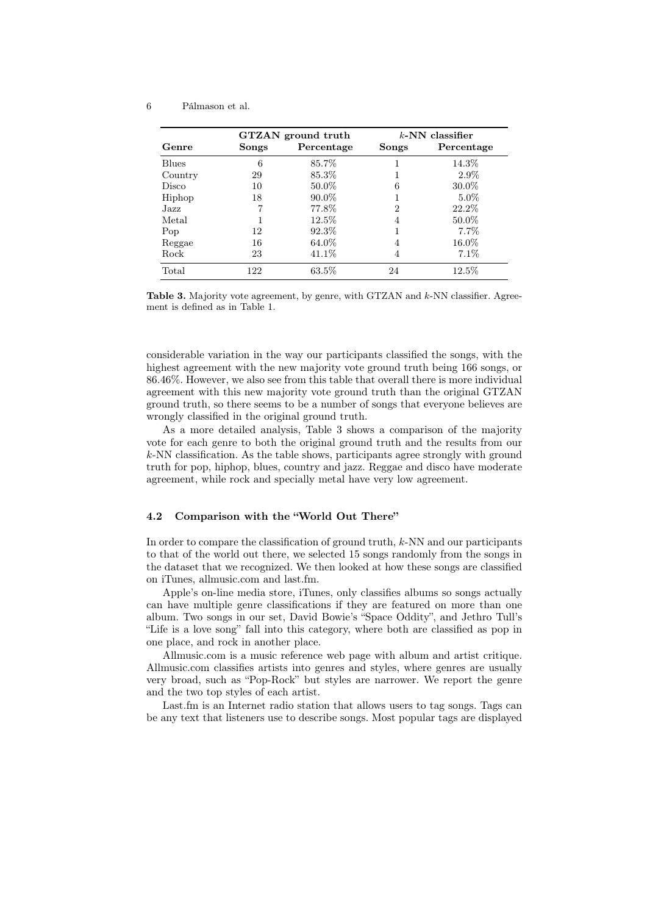|              |       | GTZAN ground truth | $k$ -NN classifier |            |  |
|--------------|-------|--------------------|--------------------|------------|--|
| Genre        | Songs | Percentage         | Songs              | Percentage |  |
| <b>Blues</b> | 6     | 85.7%              |                    | 14.3%      |  |
| Country      | 29    | 85.3%              |                    | $2.9\%$    |  |
| Disco        | 10    | $50.0\%$           | 6                  | 30.0%      |  |
| Hiphop       | 18    | 90.0%              |                    | $5.0\%$    |  |
| Jazz         |       | 77.8%              | 2                  | 22.2\%     |  |
| Metal        |       | $12.5\%$           | 4                  | $50.0\%$   |  |
| Pop          | 12    | 92.3%              |                    | $7.7\%$    |  |
| Reggae       | 16    | 64.0%              | 4                  | $16.0\%$   |  |
| Rock         | 23    | 41.1\%             | 4                  | 7.1%       |  |
| Total        | 122   | $63.5\%$           | 24                 | $12.5\%$   |  |

**Table 3.** Majority vote agreement, by genre, with GTZAN and  $k$ -NN classifier. Agreement is defined as in Table 1.

considerable variation in the way our participants classified the songs, with the highest agreement with the new majority vote ground truth being 166 songs, or 86.46%. However, we also see from this table that overall there is more individual agreement with this new majority vote ground truth than the original GTZAN ground truth, so there seems to be a number of songs that everyone believes are wrongly classified in the original ground truth.

As a more detailed analysis, Table 3 shows a comparison of the majority vote for each genre to both the original ground truth and the results from our  $k$ -NN classification. As the table shows, participants agree strongly with ground truth for pop, hiphop, blues, country and jazz. Reggae and disco have moderate agreement, while rock and specially metal have very low agreement.

## 4.2 Comparison with the "World Out There"

In order to compare the classification of ground truth, k-NN and our participants to that of the world out there, we selected 15 songs randomly from the songs in the dataset that we recognized. We then looked at how these songs are classified on iTunes, allmusic.com and last.fm.

Apple's on-line media store, iTunes, only classifies albums so songs actually can have multiple genre classifications if they are featured on more than one album. Two songs in our set, David Bowie's "Space Oddity", and Jethro Tull's "Life is a love song" fall into this category, where both are classified as pop in one place, and rock in another place.

Allmusic.com is a music reference web page with album and artist critique. Allmusic.com classifies artists into genres and styles, where genres are usually very broad, such as "Pop-Rock" but styles are narrower. We report the genre and the two top styles of each artist.

Last.fm is an Internet radio station that allows users to tag songs. Tags can be any text that listeners use to describe songs. Most popular tags are displayed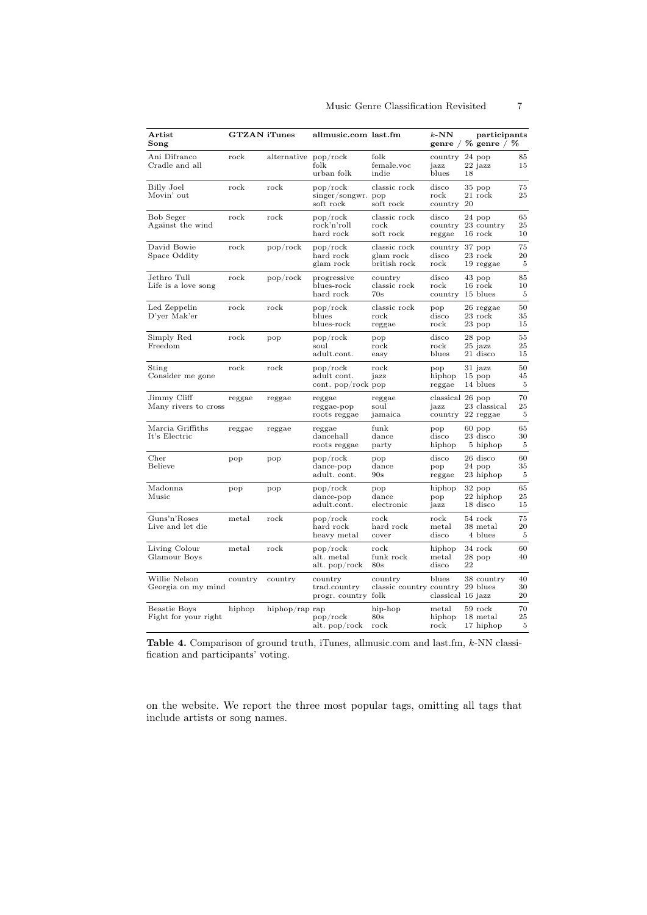| $\rm Artist$<br>Song                        | <b>GTZAN</b> iTunes |                      | allmusic.com last.fm                          |                                            | $k$ -NN                             |    | participants<br>genre / $\%$ genre /<br>% |                         |
|---------------------------------------------|---------------------|----------------------|-----------------------------------------------|--------------------------------------------|-------------------------------------|----|-------------------------------------------|-------------------------|
| Ani Difranco<br>Cradle and all              | rock                | alternative pop/rock | folk<br>urban folk                            | folk<br>female.voc<br>indie                | country<br>jazz<br>blues            | 18 | $24$ pop<br>22 jazz                       | 85<br>15                |
| <b>Billy Joel</b><br>Movin' out             | rock                | rock                 | pop/rock<br>singer/songwr. pop<br>soft rock   | classic rock<br>soft rock                  | disco<br>rock<br>country            | 20 | $35$ pop<br>21 rock                       | 75<br>25                |
| Bob Seger<br>Against the wind               | rock                | rock                 | pop/rock<br>rock'n'roll<br>hard rock          | classic rock<br>rock<br>soft rock          | disco<br>country<br>reggae          |    | $24$ pop<br>23 country<br>$16$ rock       | 65<br>25<br>10          |
| David Bowie<br>Space Oddity                 | rock                | pop/rock             | pop/rock<br>hard rock<br>glam rock            | classic rock<br>glam rock<br>british rock  | country<br>disco<br>rock            |    | 37 pop<br>23 rock<br>19 reggae            | 75<br>20<br>$\,$ 5      |
| Jethro Tull<br>Life is a love song          | rock                | pop/rock             | progressive<br>blues-rock<br>hard rock        | country<br>classic rock<br>70s             | disco<br>rock<br>country            |    | 43 pop<br>$16$ rock<br>15 blues           | 85<br>10<br>$\,$ 5 $\,$ |
| Led Zeppelin<br>$D'$ ver Mak'er             | rock                | rock                 | pop/rock<br>blues<br>blues-rock               | classic rock<br>rock<br>reggae             | pop<br>disco<br>rock                |    | $26$ reggae<br>23 rock<br>$23$ pop        | 50<br>35<br>15          |
| Simply Red<br>Freedom                       | rock                | pop                  | pop/rock<br>soul<br>adult.cont.               | pop<br>rock<br>easy                        | disco<br>rock<br>blues              |    | $28$ pop<br>25 jazz<br>21 disco           | 55<br>25<br>15          |
| Sting<br>Consider me gone                   | rock                | rock                 | pop/rock<br>adult cont.<br>cont. pop/rock pop | rock<br>jazz                               | pop<br>hiphop<br>reggae             |    | 31 jazz<br>$15$ pop<br>14 blues           | 50<br>45<br>5           |
| Jimmy Cliff<br>Many rivers to cross         | reggae              | reggae               | reggae<br>reggae-pop<br>roots reggae          | reggae<br>soul<br>jamaica                  | classical 26 pop<br>jazz<br>country |    | 23 classical<br>$22$ reggae               | 70<br>25<br>5           |
| Marcia Griffiths<br>It's Electric           | reggae              | reggae               | reggae<br>dancehall<br>roots reggae           | funk<br>dance<br>party                     | pop<br>disco<br>hiphop              |    | $60$ pop<br>23 disco<br>5 hiphop          | 65<br>30<br>5           |
| Cher<br>Believe                             | pop                 | pop                  | pop/rock<br>dance-pop<br>adult. cont.         | pop<br>dance<br>90s                        | disco<br>pop<br>reggae              |    | 26 disco<br>24 pop<br>23 hiphop           | 60<br>35<br>$\,$ 5 $\,$ |
| Madonna<br>Music                            | pop                 | pop                  | pop/rock<br>dance-pop<br>adult.cont.          | pop<br>dance<br>electronic                 | hiphop<br>pop<br>jazz               |    | $32$ pop<br>22 hiphop<br>18 disco         | 65<br>25<br>15          |
| Guns'n'Roses<br>Live and let die            | metal               | rock                 | pop/rock<br>hard rock<br>heavy metal          | rock<br>hard rock<br>cover                 | rock<br>metal<br>disco              |    | 54 rock<br>38 metal<br>4 blues            | 75<br>20<br>$\bf 5$     |
| Living Colour<br>Glamour Boys               | metal               | rock                 | pop/rock<br>alt. metal<br>alt. pop/rock       | rock<br>funk rock<br>80s                   | hiphop<br>metal<br>disco            | 22 | 34 rock<br>$28$ pop                       | 60<br>40                |
| Willie Nelson<br>Georgia on my mind         | country             | country              | country<br>trad.country<br>progr. country     | country<br>classic country country<br>folk | blues<br>classical 16 jazz          |    | 38 country<br>29 blues                    | 40<br>30<br>20          |
| <b>Beastie Boys</b><br>Fight for your right | hiphop              | hiphop/rap rap       | pop/rock<br>alt. pop/rock                     | hip-hop<br>80s<br>rock                     | metal<br>hiphop<br>rock             |    | 59 rock<br>18 metal<br>17 hiphop          | 70<br>25<br>$\,$ 5 $\,$ |

Table 4. Comparison of ground truth, iTunes, allmusic.com and last.fm, k-NN classification and participants' voting.

on the website. We report the three most popular tags, omitting all tags that include artists or song names.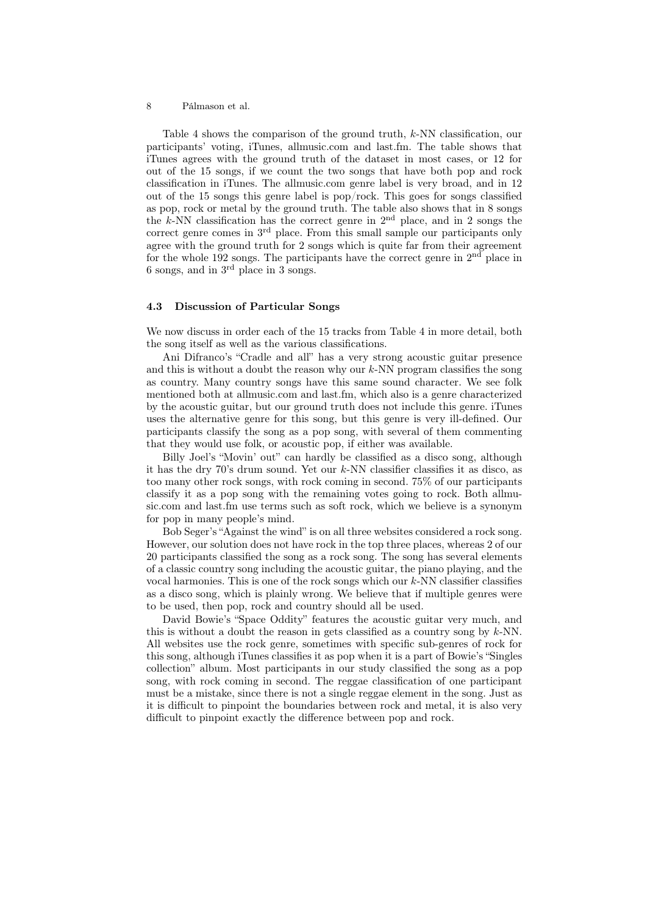Table 4 shows the comparison of the ground truth, k-NN classification, our participants' voting, iTunes, allmusic.com and last.fm. The table shows that iTunes agrees with the ground truth of the dataset in most cases, or 12 for out of the 15 songs, if we count the two songs that have both pop and rock classification in iTunes. The allmusic.com genre label is very broad, and in 12 out of the 15 songs this genre label is pop/rock. This goes for songs classified as pop, rock or metal by the ground truth. The table also shows that in 8 songs the  $k$ -NN classification has the correct genre in  $2<sup>nd</sup>$  place, and in 2 songs the correct genre comes in  $3<sup>rd</sup>$  place. From this small sample our participants only agree with the ground truth for 2 songs which is quite far from their agreement for the whole 192 songs. The participants have the correct genre in  $2<sup>nd</sup>$  place in 6 songs, and in 3rd place in 3 songs.

#### 4.3 Discussion of Particular Songs

We now discuss in order each of the 15 tracks from Table 4 in more detail, both the song itself as well as the various classifications.

Ani Difranco's "Cradle and all" has a very strong acoustic guitar presence and this is without a doubt the reason why our  $k$ -NN program classifies the song as country. Many country songs have this same sound character. We see folk mentioned both at allmusic.com and last.fm, which also is a genre characterized by the acoustic guitar, but our ground truth does not include this genre. iTunes uses the alternative genre for this song, but this genre is very ill-defined. Our participants classify the song as a pop song, with several of them commenting that they would use folk, or acoustic pop, if either was available.

Billy Joel's "Movin' out" can hardly be classified as a disco song, although it has the dry  $70$ 's drum sound. Yet our  $k$ -NN classifier classifies it as disco, as too many other rock songs, with rock coming in second. 75% of our participants classify it as a pop song with the remaining votes going to rock. Both allmusic.com and last.fm use terms such as soft rock, which we believe is a synonym for pop in many people's mind.

Bob Seger's "Against the wind" is on all three websites considered a rock song. However, our solution does not have rock in the top three places, whereas 2 of our 20 participants classified the song as a rock song. The song has several elements of a classic country song including the acoustic guitar, the piano playing, and the vocal harmonies. This is one of the rock songs which our k-NN classifier classifies as a disco song, which is plainly wrong. We believe that if multiple genres were to be used, then pop, rock and country should all be used.

David Bowie's "Space Oddity" features the acoustic guitar very much, and this is without a doubt the reason in gets classified as a country song by  $k$ -NN. All websites use the rock genre, sometimes with specific sub-genres of rock for this song, although iTunes classifies it as pop when it is a part of Bowie's "Singles collection" album. Most participants in our study classified the song as a pop song, with rock coming in second. The reggae classification of one participant must be a mistake, since there is not a single reggae element in the song. Just as it is difficult to pinpoint the boundaries between rock and metal, it is also very difficult to pinpoint exactly the difference between pop and rock.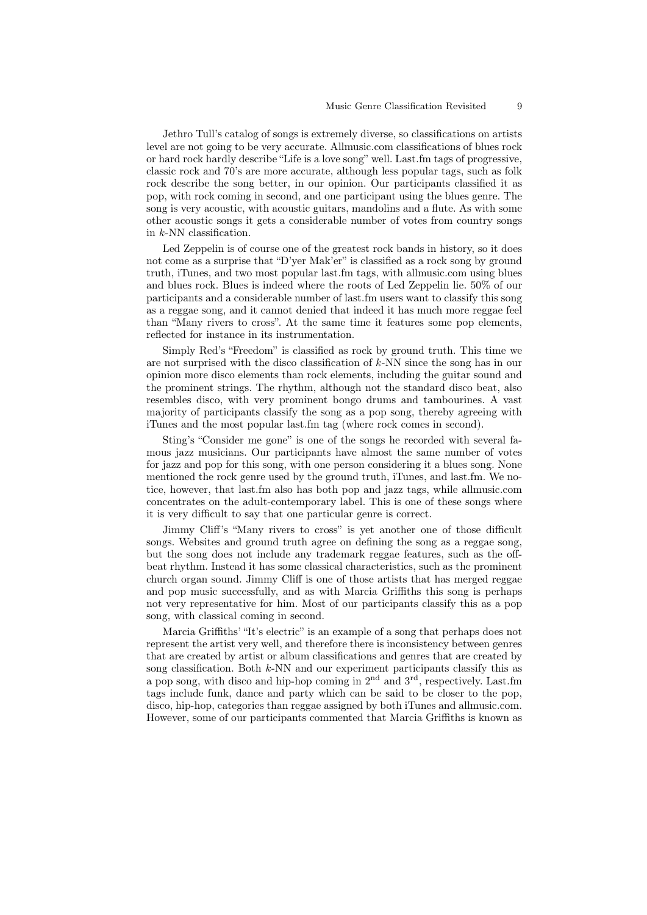Jethro Tull's catalog of songs is extremely diverse, so classifications on artists level are not going to be very accurate. Allmusic.com classifications of blues rock or hard rock hardly describe "Life is a love song" well. Last.fm tags of progressive, classic rock and 70's are more accurate, although less popular tags, such as folk rock describe the song better, in our opinion. Our participants classified it as pop, with rock coming in second, and one participant using the blues genre. The song is very acoustic, with acoustic guitars, mandolins and a flute. As with some other acoustic songs it gets a considerable number of votes from country songs in k-NN classification.

Led Zeppelin is of course one of the greatest rock bands in history, so it does not come as a surprise that "D'yer Mak'er" is classified as a rock song by ground truth, iTunes, and two most popular last.fm tags, with allmusic.com using blues and blues rock. Blues is indeed where the roots of Led Zeppelin lie. 50% of our participants and a considerable number of last.fm users want to classify this song as a reggae song, and it cannot denied that indeed it has much more reggae feel than "Many rivers to cross". At the same time it features some pop elements, reflected for instance in its instrumentation.

Simply Red's "Freedom" is classified as rock by ground truth. This time we are not surprised with the disco classification of  $k$ -NN since the song has in our opinion more disco elements than rock elements, including the guitar sound and the prominent strings. The rhythm, although not the standard disco beat, also resembles disco, with very prominent bongo drums and tambourines. A vast majority of participants classify the song as a pop song, thereby agreeing with iTunes and the most popular last.fm tag (where rock comes in second).

Sting's "Consider me gone" is one of the songs he recorded with several famous jazz musicians. Our participants have almost the same number of votes for jazz and pop for this song, with one person considering it a blues song. None mentioned the rock genre used by the ground truth, iTunes, and last.fm. We notice, however, that last.fm also has both pop and jazz tags, while allmusic.com concentrates on the adult-contemporary label. This is one of these songs where it is very difficult to say that one particular genre is correct.

Jimmy Cliff's "Many rivers to cross" is yet another one of those difficult songs. Websites and ground truth agree on defining the song as a reggae song, but the song does not include any trademark reggae features, such as the offbeat rhythm. Instead it has some classical characteristics, such as the prominent church organ sound. Jimmy Cliff is one of those artists that has merged reggae and pop music successfully, and as with Marcia Griffiths this song is perhaps not very representative for him. Most of our participants classify this as a pop song, with classical coming in second.

Marcia Griffiths' "It's electric" is an example of a song that perhaps does not represent the artist very well, and therefore there is inconsistency between genres that are created by artist or album classifications and genres that are created by song classification. Both k-NN and our experiment participants classify this as a pop song, with disco and hip-hop coming in 2nd and 3rd, respectively. Last.fm tags include funk, dance and party which can be said to be closer to the pop, disco, hip-hop, categories than reggae assigned by both iTunes and allmusic.com. However, some of our participants commented that Marcia Griffiths is known as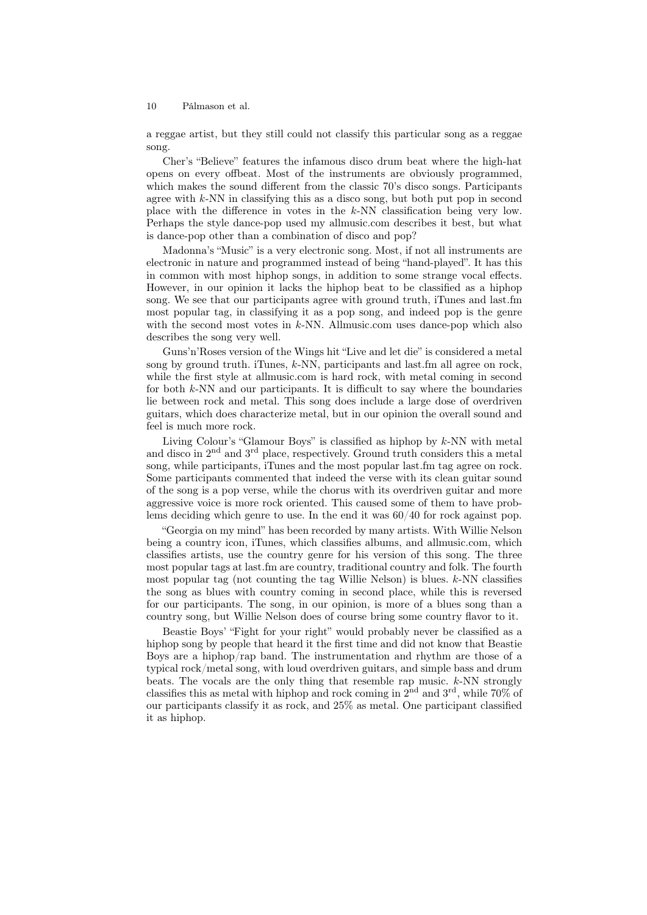a reggae artist, but they still could not classify this particular song as a reggae song.

Cher's "Believe" features the infamous disco drum beat where the high-hat opens on every offbeat. Most of the instruments are obviously programmed, which makes the sound different from the classic 70's disco songs. Participants agree with  $k$ -NN in classifying this as a disco song, but both put pop in second place with the difference in votes in the  $k$ -NN classification being very low. Perhaps the style dance-pop used my allmusic.com describes it best, but what is dance-pop other than a combination of disco and pop?

Madonna's "Music" is a very electronic song. Most, if not all instruments are electronic in nature and programmed instead of being "hand-played". It has this in common with most hiphop songs, in addition to some strange vocal effects. However, in our opinion it lacks the hiphop beat to be classified as a hiphop song. We see that our participants agree with ground truth, iTunes and last.fm most popular tag, in classifying it as a pop song, and indeed pop is the genre with the second most votes in  $k$ -NN. Allmusic.com uses dance-pop which also describes the song very well.

Guns'n'Roses version of the Wings hit "Live and let die" is considered a metal song by ground truth. iTunes, k-NN, participants and last.fm all agree on rock, while the first style at allmusic.com is hard rock, with metal coming in second for both  $k$ -NN and our participants. It is difficult to say where the boundaries lie between rock and metal. This song does include a large dose of overdriven guitars, which does characterize metal, but in our opinion the overall sound and feel is much more rock.

Living Colour's "Glamour Boys" is classified as hiphop by  $k$ -NN with metal and disco in  $2<sup>nd</sup>$  and  $3<sup>rd</sup>$  place, respectively. Ground truth considers this a metal song, while participants, iTunes and the most popular last.fm tag agree on rock. Some participants commented that indeed the verse with its clean guitar sound of the song is a pop verse, while the chorus with its overdriven guitar and more aggressive voice is more rock oriented. This caused some of them to have problems deciding which genre to use. In the end it was 60/40 for rock against pop.

"Georgia on my mind" has been recorded by many artists. With Willie Nelson being a country icon, iTunes, which classifies albums, and allmusic.com, which classifies artists, use the country genre for his version of this song. The three most popular tags at last.fm are country, traditional country and folk. The fourth most popular tag (not counting the tag Willie Nelson) is blues.  $k$ -NN classifies the song as blues with country coming in second place, while this is reversed for our participants. The song, in our opinion, is more of a blues song than a country song, but Willie Nelson does of course bring some country flavor to it.

Beastie Boys' "Fight for your right" would probably never be classified as a hiphop song by people that heard it the first time and did not know that Beastie Boys are a hiphop/rap band. The instrumentation and rhythm are those of a typical rock/metal song, with loud overdriven guitars, and simple bass and drum beats. The vocals are the only thing that resemble rap music.  $k$ -NN strongly classifies this as metal with hiphop and rock coming in  $2<sup>nd</sup>$  and  $3<sup>rd</sup>$ , while 70% of our participants classify it as rock, and 25% as metal. One participant classified it as hiphop.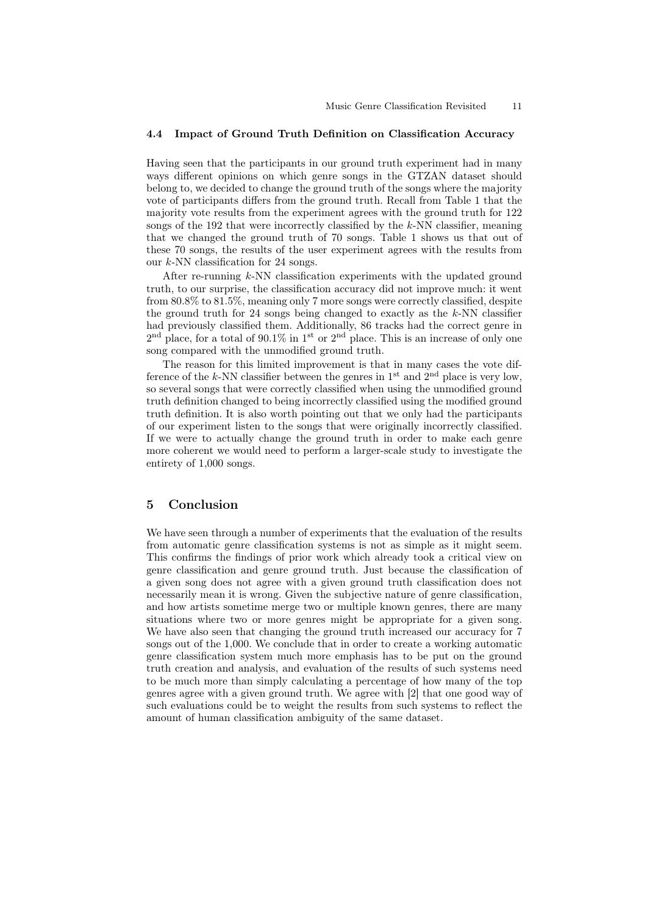#### 4.4 Impact of Ground Truth Definition on Classification Accuracy

Having seen that the participants in our ground truth experiment had in many ways different opinions on which genre songs in the GTZAN dataset should belong to, we decided to change the ground truth of the songs where the majority vote of participants differs from the ground truth. Recall from Table 1 that the majority vote results from the experiment agrees with the ground truth for 122 songs of the 192 that were incorrectly classified by the  $k$ -NN classifier, meaning that we changed the ground truth of 70 songs. Table 1 shows us that out of these 70 songs, the results of the user experiment agrees with the results from our  $k$ -NN classification for 24 songs.

After re-running k-NN classification experiments with the updated ground truth, to our surprise, the classification accuracy did not improve much: it went from 80.8% to 81.5%, meaning only 7 more songs were correctly classified, despite the ground truth for 24 songs being changed to exactly as the  $k$ -NN classifier had previously classified them. Additionally, 86 tracks had the correct genre in  $2<sup>nd</sup>$  place, for a total of 90.1% in 1<sup>st</sup> or  $2<sup>nd</sup>$  place. This is an increase of only one song compared with the unmodified ground truth.

The reason for this limited improvement is that in many cases the vote difference of the k-NN classifier between the genres in  $1<sup>st</sup>$  and  $2<sup>nd</sup>$  place is very low, so several songs that were correctly classified when using the unmodified ground truth definition changed to being incorrectly classified using the modified ground truth definition. It is also worth pointing out that we only had the participants of our experiment listen to the songs that were originally incorrectly classified. If we were to actually change the ground truth in order to make each genre more coherent we would need to perform a larger-scale study to investigate the entirety of 1,000 songs.

#### 5 Conclusion

We have seen through a number of experiments that the evaluation of the results from automatic genre classification systems is not as simple as it might seem. This confirms the findings of prior work which already took a critical view on genre classification and genre ground truth. Just because the classification of a given song does not agree with a given ground truth classification does not necessarily mean it is wrong. Given the subjective nature of genre classification, and how artists sometime merge two or multiple known genres, there are many situations where two or more genres might be appropriate for a given song. We have also seen that changing the ground truth increased our accuracy for 7 songs out of the 1,000. We conclude that in order to create a working automatic genre classification system much more emphasis has to be put on the ground truth creation and analysis, and evaluation of the results of such systems need to be much more than simply calculating a percentage of how many of the top genres agree with a given ground truth. We agree with [2] that one good way of such evaluations could be to weight the results from such systems to reflect the amount of human classification ambiguity of the same dataset.